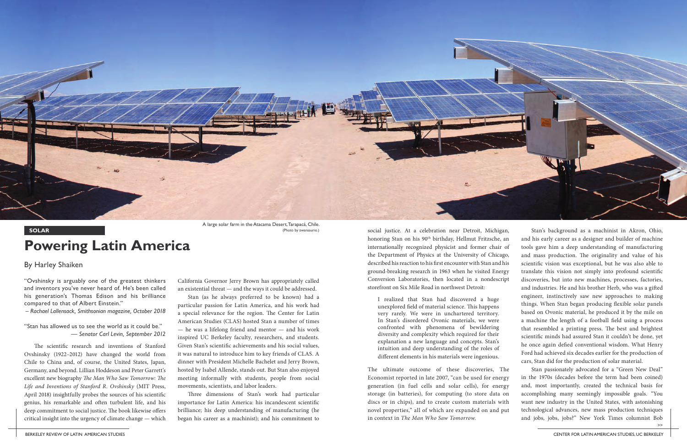BERKELEY REVIEW OF LATIN AMERICAN STUDIES CENTER FOR LATIN AMERICAN STUDIES, UC BERKELEY

"Ovshinsky is arguably one of the greatest thinkers and inventors you've never heard of. He's been called his generation's Thomas Edison and his brilliance compared to that of Albert Einstein."

– *Rachael Lallensack, Smithsonian magazine, October 2018*

"Stan has allowed us to see the world as it could be." — *Senator Carl Levin, September 2012*

The scientific research and inventions of Stanford Ovshinsky (1922–2012) have changed the world from Chile to China and, of course, the United States, Japan, Germany, and beyond. Lillian Hoddeson and Peter Garrett's excellent new biography *The Man Who Saw Tomorrow: The Life and Inventions of Stanford R. Ovshinsky* (MIT Press, April 2018) insightfully probes the sources of his scientific genius, his remarkable and often turbulent life, and his deep commitment to social justice. The book likewise offers critical insight into the urgency of climate change — which California Governor Jerry Brown has appropriately called an existential threat — and the ways it could be addressed.

Stan (as he always preferred to be known) had a particular passion for Latin America, and his work had a special relevance for the region. The Center for Latin American Studies (CLAS) hosted Stan a number of times — he was a lifelong friend and mentor — and his work inspired UC Berkeley faculty, researchers, and students. Given Stan's scientific achievements and his social values, it was natural to introduce him to key friends of CLAS. A dinner with President Michelle Bachelet and Jerry Brown, hosted by Isabel Allende, stands out. But Stan also enjoyed meeting informally with students, people from social movements, scientists, and labor leaders.

Three dimensions of Stan's work had particular importance for Latin America: his incandescent scientific brilliance; his deep understanding of manufacturing (he began his career as a machinist); and his commitment to

## **Powering Latin America**

## By Harley Shaiken

**SOLAR** SOLAR (Photo by zwansaurio.) social justice. At a celebration near Detroit, Michigan, honoring Stan on his 90<sup>th</sup> birthday, Hellmut Fritzsche, an internationally recognized physicist and former chair of the Department of Physics at the University of Chicago, described his reaction to his first encounter with Stan and his ground-breaking research in 1963 when he visited Energy Conversion Laboratories, then located in a nondescript storefront on Six Mile Road in northwest Detroit: I realized that Stan had discovered a huge unexplored field of material science. This happens very rarely. We were in unchartered territory. In Stan's disordered Ovonic materials, we were confronted with phenomena of bewildering diversity and complexity which required for their explanation a new language and concepts. Stan's intuition and deep understanding of the roles of different elements in his materials were ingenious. Stan's background as a machinist in Akron, Ohio, and his early career as a designer and builder of machine tools gave him a deep understanding of manufacturing and mass production. The originality and value of his scientific vision was exceptional, but he was also able to translate this vision not simply into profound scientific discoveries, but into new machines, processes, factories, and industries. He and his brother Herb, who was a gifted engineer, instinctively saw new approaches to making things. When Stan began producing flexible solar panels based on Ovonic material, he produced it by the mile on a machine the length of a football field using a process that resembled a printing press. The best and brightest scientific minds had assured Stan it couldn't be done, yet he once again defied conventional wisdom. What Henry Ford had achieved six decades earlier for the production of cars, Stan did for the production of solar material.

The ultimate outcome of these discoveries, The Economist reported in late 2007, "can be used for energy generation (in fuel cells and solar cells), for energy storage (in batteries), for computing (to store data on discs or in chips), and to create custom materials with novel properties," all of which are expanded on and put in context in *The Man Who Saw Tomorrow.* Stan passionately advocated for a "Green New Deal" in the 1970s (decades before the term had been coined) and, most importantly, created the technical basis for accomplishing many seemingly impossible goals. "You want new industry in the United States, with astonishing technological advances, new mass production techniques and jobs, jobs, jobs?" New York Times columnist Bob >>



A large solar farm in the Atacama Desert, Tarapacá, Chile. (Photo by zwansaurio.)